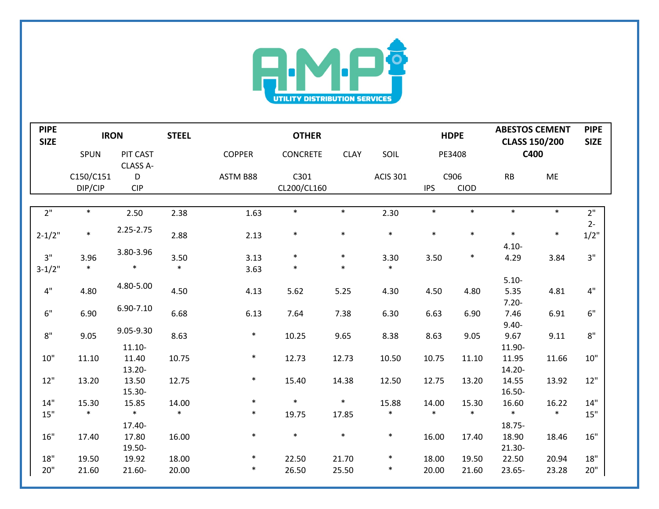

| <b>PIPE</b><br><b>SIZE</b> | <b>IRON</b> |                             | <b>STEEL</b> | <b>OTHER</b>  |                 |             | <b>HDPE</b>     |            | <b>ABESTOS CEMENT</b><br><b>CLASS 150/200</b> |                  | <b>PIPE</b><br><b>SIZE</b> |              |
|----------------------------|-------------|-----------------------------|--------------|---------------|-----------------|-------------|-----------------|------------|-----------------------------------------------|------------------|----------------------------|--------------|
|                            | <b>SPUN</b> | <b>PIT CAST</b><br>CLASS A- |              | <b>COPPER</b> | <b>CONCRETE</b> | <b>CLAY</b> | SOIL            | PE3408     |                                               | C400             |                            |              |
|                            | C150/C151   | D                           |              | ASTM B88      | C301            |             | <b>ACIS 301</b> |            | C906                                          | RB               | ME                         |              |
|                            | DIP/CIP     | <b>CIP</b>                  |              |               | CL200/CL160     |             |                 | <b>IPS</b> | CIOD                                          |                  |                            |              |
|                            |             |                             |              |               |                 |             |                 |            |                                               |                  |                            |              |
| 2"                         | $\ast$      | 2.50                        | 2.38         | 1.63          | $\ast$          | $\ast$      | 2.30            | $\ast$     | $\ast$                                        | $\ast$           | $\ast$                     | 2"           |
| $2 - 1/2"$                 | $\ast$      | 2.25-2.75                   | 2.88         | 2.13          | $\ast$          | $\ast$      | $\ast$          | $\ast$     | $\ast$                                        | $\ast$           | $\ast$                     | $2-$<br>1/2" |
|                            |             | 3.80-3.96                   |              |               |                 |             |                 |            |                                               | $4.10 -$         |                            |              |
| 3"                         | 3.96        |                             | 3.50         | 3.13          | $\ast$          | $\ast$      | 3.30            | 3.50       | $\ast$                                        | 4.29             | 3.84                       | 3"           |
| $3-1/2"$                   | $\ast$      | $\ast$                      | $\ast$       | 3.63          | $\ast$          | $\ast$      | $\ast$          |            |                                               |                  |                            |              |
|                            |             | 4.80-5.00                   |              |               |                 |             |                 |            |                                               | $5.10 -$         |                            |              |
| $4"$                       | 4.80        |                             | 4.50         | 4.13          | 5.62            | 5.25        | 4.30            | 4.50       | 4.80                                          | 5.35             | 4.81                       | 4"           |
|                            |             | 6.90-7.10                   |              |               |                 |             |                 |            |                                               | $7.20 -$         |                            |              |
| 6"                         | 6.90        |                             | 6.68         | 6.13          | 7.64            | 7.38        | 6.30            | 6.63       | 6.90                                          | 7.46<br>$9.40 -$ | 6.91                       | 6"           |
| $8"$                       | 9.05        | 9.05-9.30                   | 8.63         | $\ast$        | 10.25           | 9.65        | 8.38            | 8.63       | 9.05                                          | 9.67             | 9.11                       | 8"           |
|                            |             | $11.10 -$                   |              |               |                 |             |                 |            |                                               | 11.90-           |                            |              |
| 10"                        | 11.10       | 11.40                       | 10.75        | $\ast$        | 12.73           | 12.73       | 10.50           | 10.75      | 11.10                                         | 11.95            | 11.66                      | 10"          |
|                            |             | 13.20-                      |              |               |                 |             |                 |            |                                               | 14.20-           |                            |              |
| 12"                        | 13.20       | 13.50                       | 12.75        | $\ast$        | 15.40           | 14.38       | 12.50           | 12.75      | 13.20                                         | 14.55            | 13.92                      | 12"          |
|                            |             | 15.30-                      |              |               |                 |             |                 |            |                                               | 16.50-           |                            |              |
| 14"                        | 15.30       | 15.85                       | 14.00        | $\ast$        | $\ast$          | $\ast$      | 15.88           | 14.00      | 15.30                                         | 16.60            | 16.22                      | 14"          |
| 15"                        | $\ast$      | $\ast$                      | $\ast$       | $\ast$        | 19.75           | 17.85       | $\ast$          | $\ast$     | $\ast$                                        | $\ast$           | $\ast$                     | 15"          |
|                            |             | 17.40-                      |              |               |                 |             |                 |            |                                               | 18.75-           |                            |              |
| 16"                        | 17.40       | 17.80                       | 16.00        | $\ast$        | $\ast$          | $\ast$      | $\ast$          | 16.00      | 17.40                                         | 18.90            | 18.46                      | 16"          |
|                            |             | 19.50-                      |              |               |                 |             |                 |            |                                               | 21.30-           |                            |              |
| 18"                        | 19.50       | 19.92                       | 18.00        | $\ast$        | 22.50           | 21.70       | $\ast$          | 18.00      | 19.50                                         | 22.50            | 20.94                      | 18"          |
| 20"                        | 21.60       | 21.60-                      | 20.00        | $\ast$        | 26.50           | 25.50       | $\ast$          | 20.00      | 21.60                                         | 23.65-           | 23.28                      | 20"          |